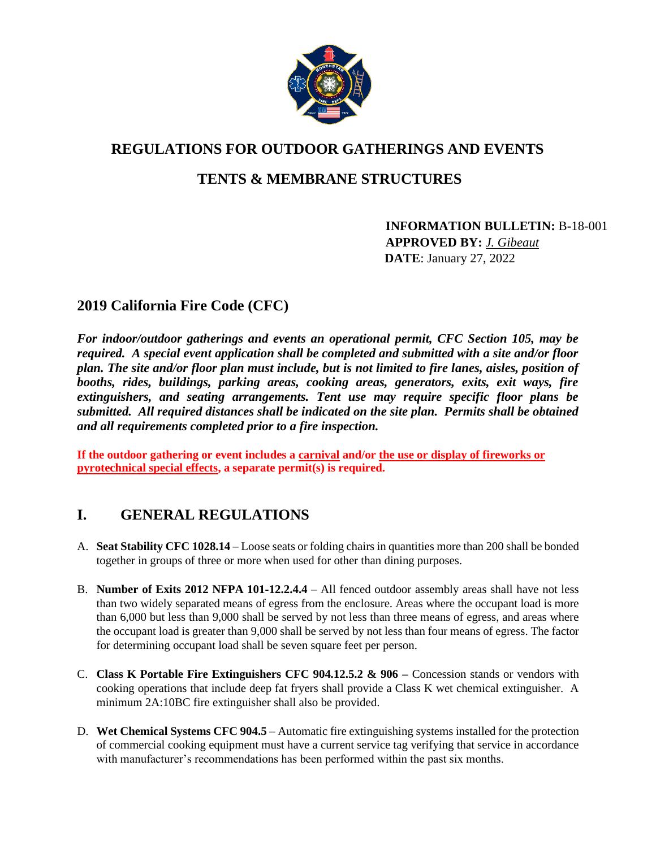

# **REGULATIONS FOR OUTDOOR GATHERINGS AND EVENTS**

## **TENTS & MEMBRANE STRUCTURES**

 **INFORMATION BULLETIN:** B**-**18-001 **APPROVED BY:** *J. Gibeaut* **DATE**: January 27, 2022

### **2019 California Fire Code (CFC)**

*For indoor/outdoor gatherings and events an operational permit, CFC Section 105, may be required. A special event application shall be completed and submitted with a site and/or floor plan. The site and/or floor plan must include, but is not limited to fire lanes, aisles, position of*  booths, rides, buildings, parking areas, cooking areas, generators, exits, exit ways, fire *extinguishers, and seating arrangements. Tent use may require specific floor plans be submitted. All required distances shall be indicated on the site plan. Permits shall be obtained and all requirements completed prior to a fire inspection.* 

**If the outdoor gathering or event includes a carnival and/or the use or display of fireworks or pyrotechnical special effects, a separate permit(s) is required.** 

### **I. GENERAL REGULATIONS**

- A. **Seat Stability CFC 1028.14** Loose seats or folding chairs in quantities more than 200 shall be bonded together in groups of three or more when used for other than dining purposes.
- B. **Number of Exits 2012 NFPA 101-12.2.4.4** All fenced outdoor assembly areas shall have not less than two widely separated means of egress from the enclosure. Areas where the occupant load is more than 6,000 but less than 9,000 shall be served by not less than three means of egress, and areas where the occupant load is greater than 9,000 shall be served by not less than four means of egress. The factor for determining occupant load shall be seven square feet per person.
- C. **Class K Portable Fire Extinguishers CFC 904.12.5.2 & 906 –** Concession stands or vendors with cooking operations that include deep fat fryers shall provide a Class K wet chemical extinguisher. A minimum 2A:10BC fire extinguisher shall also be provided.
- D. **Wet Chemical Systems CFC 904.5** Automatic fire extinguishing systems installed for the protection of commercial cooking equipment must have a current service tag verifying that service in accordance with manufacturer's recommendations has been performed within the past six months.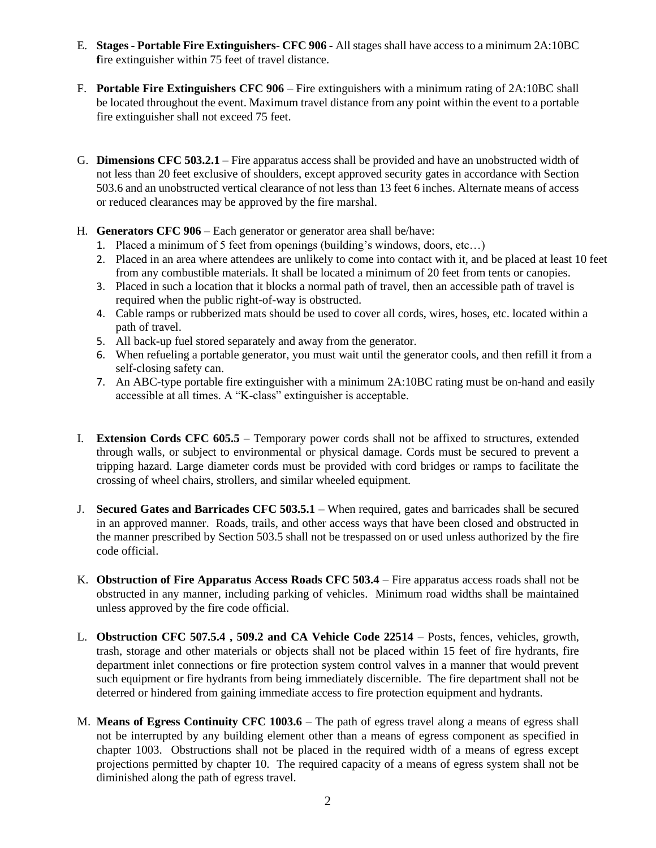- E. **Stages - Portable Fire Extinguishers CFC 906 -** All stages shall have access to a minimum 2A:10BC fire extinguisher within 75 feet of travel distance.
- F. **Portable Fire Extinguishers CFC 906** Fire extinguishers with a minimum rating of 2A:10BC shall be located throughout the event. Maximum travel distance from any point within the event to a portable fire extinguisher shall not exceed 75 feet.
- G. **Dimensions CFC 503.2.1** Fire apparatus access shall be provided and have an unobstructed width of not less than 20 feet exclusive of shoulders, except approved security gates in accordance with Section 503.6 and an unobstructed vertical clearance of not less than 13 feet 6 inches. Alternate means of access or reduced clearances may be approved by the fire marshal.
- H. **Generators CFC 906** Each generator or generator area shall be/have:
	- 1. Placed a minimum of 5 feet from openings (building's windows, doors, etc…)
	- 2. Placed in an area where attendees are unlikely to come into contact with it, and be placed at least 10 feet from any combustible materials. It shall be located a minimum of 20 feet from tents or canopies.
	- 3. Placed in such a location that it blocks a normal path of travel, then an accessible path of travel is required when the public right-of-way is obstructed.
	- 4. Cable ramps or rubberized mats should be used to cover all cords, wires, hoses, etc. located within a path of travel.
	- 5. All back-up fuel stored separately and away from the generator.
	- 6. When refueling a portable generator, you must wait until the generator cools, and then refill it from a self-closing safety can.
	- 7. An ABC-type portable fire extinguisher with a minimum 2A:10BC rating must be on-hand and easily accessible at all times. A "K-class" extinguisher is acceptable.
- I. **Extension Cords CFC 605.5** Temporary power cords shall not be affixed to structures, extended through walls, or subject to environmental or physical damage. Cords must be secured to prevent a tripping hazard. Large diameter cords must be provided with cord bridges or ramps to facilitate the crossing of wheel chairs, strollers, and similar wheeled equipment.
- J. **Secured Gates and Barricades CFC 503.5.1** When required, gates and barricades shall be secured in an approved manner. Roads, trails, and other access ways that have been closed and obstructed in the manner prescribed by Section 503.5 shall not be trespassed on or used unless authorized by the fire code official.
- K. **Obstruction of Fire Apparatus Access Roads CFC 503.4**  Fire apparatus access roads shall not be obstructed in any manner, including parking of vehicles. Minimum road widths shall be maintained unless approved by the fire code official.
- L. **Obstruction CFC 507.5.4 , 509.2 and CA Vehicle Code 22514** Posts, fences, vehicles, growth, trash, storage and other materials or objects shall not be placed within 15 feet of fire hydrants, fire department inlet connections or fire protection system control valves in a manner that would prevent such equipment or fire hydrants from being immediately discernible. The fire department shall not be deterred or hindered from gaining immediate access to fire protection equipment and hydrants.
- M. **Means of Egress Continuity CFC 1003.6**  The path of egress travel along a means of egress shall not be interrupted by any building element other than a means of egress component as specified in chapter 1003. Obstructions shall not be placed in the required width of a means of egress except projections permitted by chapter 10. The required capacity of a means of egress system shall not be diminished along the path of egress travel.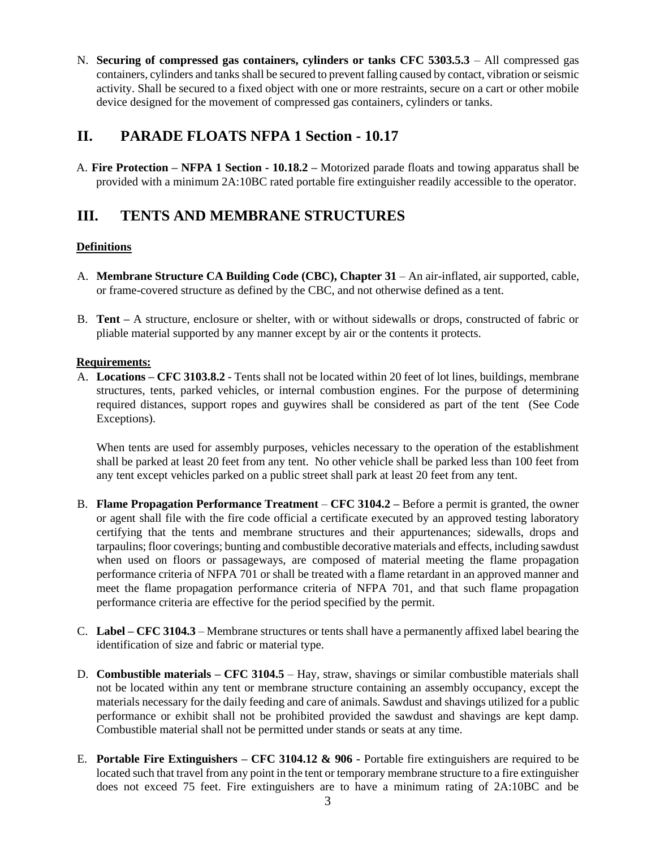N. **Securing of compressed gas containers, cylinders or tanks CFC 5303.5.3** – All compressed gas containers, cylinders and tanks shall be secured to prevent falling caused by contact, vibration or seismic activity. Shall be secured to a fixed object with one or more restraints, secure on a cart or other mobile device designed for the movement of compressed gas containers, cylinders or tanks.

### **II. PARADE FLOATS NFPA 1 Section - 10.17**

A. **Fire Protection – NFPA 1 Section - 10.18.2 –** Motorized parade floats and towing apparatus shall be provided with a minimum 2A:10BC rated portable fire extinguisher readily accessible to the operator.

### **III. TENTS AND MEMBRANE STRUCTURES**

#### **Definitions**

- A. **Membrane Structure CA Building Code (CBC), Chapter 31** An air-inflated, air supported, cable, or frame-covered structure as defined by the CBC, and not otherwise defined as a tent.
- B. **Tent –** A structure, enclosure or shelter, with or without sidewalls or drops, constructed of fabric or pliable material supported by any manner except by air or the contents it protects.

#### **Requirements:**

A. **Locations – CFC 3103.8.2** - Tents shall not be located within 20 feet of lot lines, buildings, membrane structures, tents, parked vehicles, or internal combustion engines. For the purpose of determining required distances, support ropes and guywires shall be considered as part of the tent (See Code Exceptions).

When tents are used for assembly purposes, vehicles necessary to the operation of the establishment shall be parked at least 20 feet from any tent. No other vehicle shall be parked less than 100 feet from any tent except vehicles parked on a public street shall park at least 20 feet from any tent.

- B. **Flame Propagation Performance Treatment CFC 3104.2 –** Before a permit is granted, the owner or agent shall file with the fire code official a certificate executed by an approved testing laboratory certifying that the tents and membrane structures and their appurtenances; sidewalls, drops and tarpaulins; floor coverings; bunting and combustible decorative materials and effects, including sawdust when used on floors or passageways, are composed of material meeting the flame propagation performance criteria of NFPA 701 or shall be treated with a flame retardant in an approved manner and meet the flame propagation performance criteria of NFPA 701, and that such flame propagation performance criteria are effective for the period specified by the permit.
- C. **Label – CFC 3104.3**  Membrane structures or tents shall have a permanently affixed label bearing the identification of size and fabric or material type.
- D. **Combustible materials – CFC 3104.5**  Hay, straw, shavings or similar combustible materials shall not be located within any tent or membrane structure containing an assembly occupancy, except the materials necessary for the daily feeding and care of animals. Sawdust and shavings utilized for a public performance or exhibit shall not be prohibited provided the sawdust and shavings are kept damp. Combustible material shall not be permitted under stands or seats at any time.
- E. **Portable Fire Extinguishers – CFC 3104.12 & 906 -** Portable fire extinguishers are required to be located such that travel from any point in the tent or temporary membrane structure to a fire extinguisher does not exceed 75 feet. Fire extinguishers are to have a minimum rating of 2A:10BC and be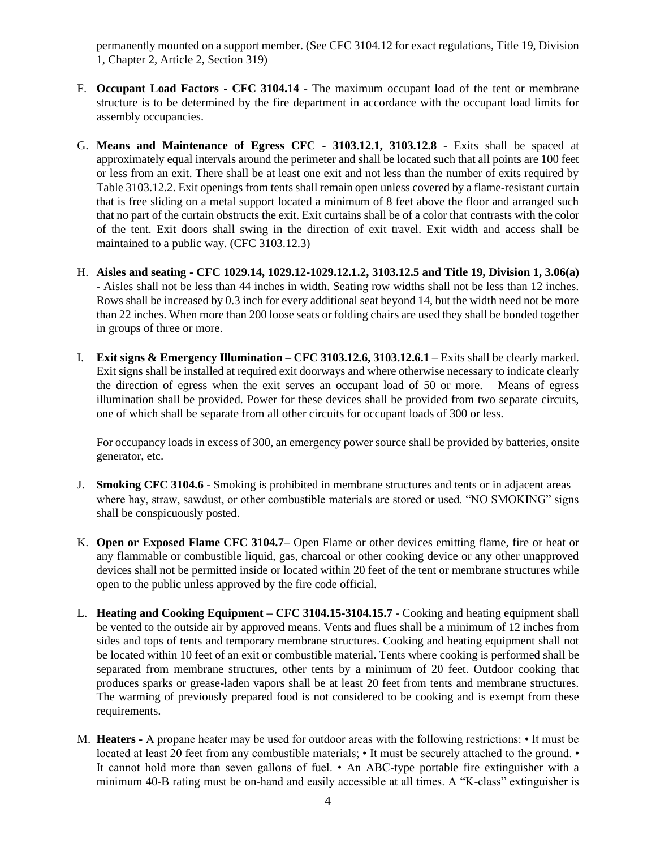permanently mounted on a support member. (See CFC 3104.12 for exact regulations, Title 19, Division 1, Chapter 2, Article 2, Section 319)

- F. **Occupant Load Factors - CFC 3104.14** The maximum occupant load of the tent or membrane structure is to be determined by the fire department in accordance with the occupant load limits for assembly occupancies.
- G. **Means and Maintenance of Egress CFC - 3103.12.1, 3103.12.8**  Exits shall be spaced at approximately equal intervals around the perimeter and shall be located such that all points are 100 feet or less from an exit. There shall be at least one exit and not less than the number of exits required by Table 3103.12.2. Exit openings from tents shall remain open unless covered by a flame-resistant curtain that is free sliding on a metal support located a minimum of 8 feet above the floor and arranged such that no part of the curtain obstructs the exit. Exit curtains shall be of a color that contrasts with the color of the tent. Exit doors shall swing in the direction of exit travel. Exit width and access shall be maintained to a public way. (CFC 3103.12.3)
- H. **Aisles and seating - CFC 1029.14, 1029.12-1029.12.1.2, 3103.12.5 and Title 19, Division 1, 3.06(a)** - Aisles shall not be less than 44 inches in width. Seating row widths shall not be less than 12 inches. Rows shall be increased by 0.3 inch for every additional seat beyond 14, but the width need not be more than 22 inches. When more than 200 loose seats or folding chairs are used they shall be bonded together in groups of three or more.
- I. **Exit signs & Emergency Illumination – CFC 3103.12.6, 3103.12.6.1** Exits shall be clearly marked. Exit signs shall be installed at required exit doorways and where otherwise necessary to indicate clearly the direction of egress when the exit serves an occupant load of 50 or more. Means of egress illumination shall be provided. Power for these devices shall be provided from two separate circuits, one of which shall be separate from all other circuits for occupant loads of 300 or less.

For occupancy loads in excess of 300, an emergency power source shall be provided by batteries, onsite generator, etc.

- J. **Smoking CFC 3104.6** Smoking is prohibited in membrane structures and tents or in adjacent areas where hay, straw, sawdust, or other combustible materials are stored or used. "NO SMOKING" signs shall be conspicuously posted.
- K. **Open or Exposed Flame CFC 3104.7** Open Flame or other devices emitting flame, fire or heat or any flammable or combustible liquid, gas, charcoal or other cooking device or any other unapproved devices shall not be permitted inside or located within 20 feet of the tent or membrane structures while open to the public unless approved by the fire code official.
- L. **Heating and Cooking Equipment – CFC 3104.15-3104.15.7** Cooking and heating equipment shall be vented to the outside air by approved means. Vents and flues shall be a minimum of 12 inches from sides and tops of tents and temporary membrane structures. Cooking and heating equipment shall not be located within 10 feet of an exit or combustible material. Tents where cooking is performed shall be separated from membrane structures, other tents by a minimum of 20 feet. Outdoor cooking that produces sparks or grease-laden vapors shall be at least 20 feet from tents and membrane structures. The warming of previously prepared food is not considered to be cooking and is exempt from these requirements.
- M. **Heaters -** A propane heater may be used for outdoor areas with the following restrictions: It must be located at least 20 feet from any combustible materials;  $\cdot$  It must be securely attached to the ground.  $\cdot$ It cannot hold more than seven gallons of fuel. • An ABC-type portable fire extinguisher with a minimum 40-B rating must be on-hand and easily accessible at all times. A "K-class" extinguisher is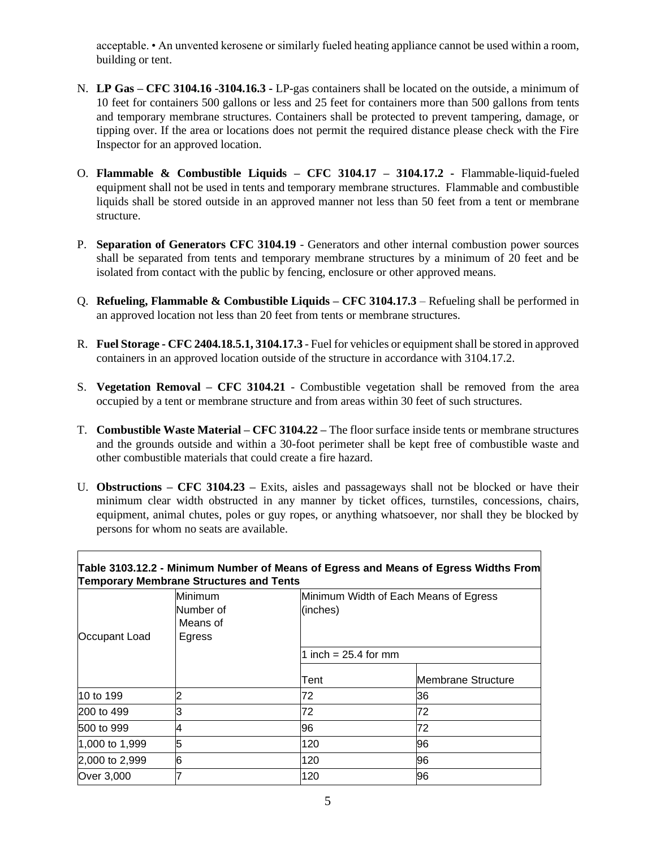acceptable. • An unvented kerosene or similarly fueled heating appliance cannot be used within a room, building or tent.

- N. **LP Gas – CFC 3104.16 -3104.16.3 -** LP-gas containers shall be located on the outside, a minimum of 10 feet for containers 500 gallons or less and 25 feet for containers more than 500 gallons from tents and temporary membrane structures. Containers shall be protected to prevent tampering, damage, or tipping over. If the area or locations does not permit the required distance please check with the Fire Inspector for an approved location.
- O. **Flammable & Combustible Liquids – CFC 3104.17 – 3104.17.2 -** Flammable-liquid-fueled equipment shall not be used in tents and temporary membrane structures. Flammable and combustible liquids shall be stored outside in an approved manner not less than 50 feet from a tent or membrane structure.
- P. **Separation of Generators CFC 3104.19** Generators and other internal combustion power sources shall be separated from tents and temporary membrane structures by a minimum of 20 feet and be isolated from contact with the public by fencing, enclosure or other approved means.
- Q. **Refueling, Flammable & Combustible Liquids – CFC 3104.17.3** Refueling shall be performed in an approved location not less than 20 feet from tents or membrane structures.
- R. **Fuel Storage - CFC 2404.18.5.1, 3104.17.3**  Fuel for vehicles or equipment shall be stored in approved containers in an approved location outside of the structure in accordance with 3104.17.2.
- S. **Vegetation Removal – CFC 3104.21** Combustible vegetation shall be removed from the area occupied by a tent or membrane structure and from areas within 30 feet of such structures.
- T. **Combustible Waste Material – CFC 3104.22 –** The floor surface inside tents or membrane structures and the grounds outside and within a 30-foot perimeter shall be kept free of combustible waste and other combustible materials that could create a fire hazard.
- U. **Obstructions – CFC 3104.23 –** Exits, aisles and passageways shall not be blocked or have their minimum clear width obstructed in any manner by ticket offices, turnstiles, concessions, chairs, equipment, animal chutes, poles or guy ropes, or anything whatsoever, nor shall they be blocked by persons for whom no seats are available.

| Occupant Load  | Minimum<br>Number of<br>Means of<br>Egress | Minimum Width of Each Means of Egress<br>(inches)<br>1 inch = 25.4 for mm |    |
|----------------|--------------------------------------------|---------------------------------------------------------------------------|----|
|                |                                            |                                                                           |    |
|                |                                            | 10 to 199                                                                 | 2  |
| 200 to 499     | З                                          | 72                                                                        | 72 |
| 500 to 999     | 4                                          | 96                                                                        | 72 |
| 1,000 to 1,999 | 5                                          | 120                                                                       | 96 |
| 2,000 to 2,999 | 6                                          | 120                                                                       | 96 |
| Over 3,000     |                                            | 120                                                                       | 96 |